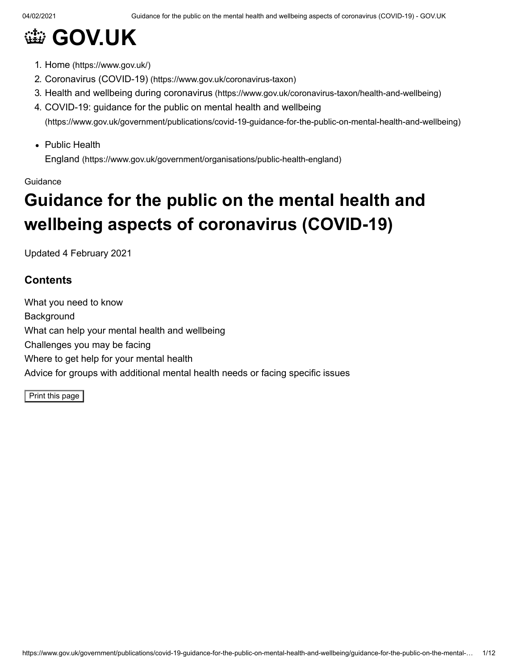# **@ [GOV.UK](https://www.gov.uk/)**

- 1. Home [\(https://www.gov.uk/\)](https://www.gov.uk/)
- 2. Coronavirus (COVID-19) [\(https://www.gov.uk/coronavirus-taxon\)](https://www.gov.uk/coronavirus-taxon)
- 3. Health and wellbeing during coronavirus [\(https://www.gov.uk/coronavirus-taxon/health-and-wellbeing\)](https://www.gov.uk/coronavirus-taxon/health-and-wellbeing)
- 4. COVID-19: guidance for the public on mental health and wellbeing [\(https://www.gov.uk/government/publications/covid-19-guidance-for-the-public-on-mental-health-and-wellbeing\)](https://www.gov.uk/government/publications/covid-19-guidance-for-the-public-on-mental-health-and-wellbeing)
- Public Health

England [\(https://www.gov.uk/government/organisations/public-health-england\)](https://www.gov.uk/government/organisations/public-health-england)

#### Guidance

# **Guidance for the public on the mental health and wellbeing aspects of coronavirus (COVID-19)**

Updated 4 February 2021

# **Contents**

What you need to know **Background** What can help your mental health and wellbeing Challenges you may be facing Where to get help for your mental health Advice for groups with additional mental health needs or facing specific issues

Print this page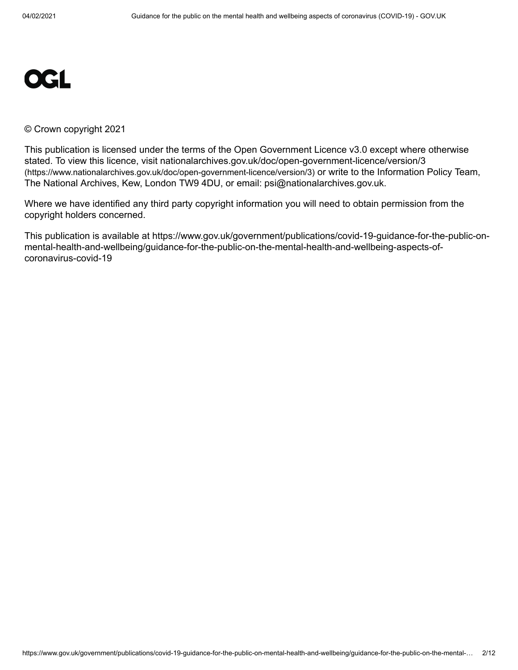

#### © Crown copyright 2021

This publication is licensed under the terms of the Open Government Licence v3.0 except where otherwise [stated. To view this licence, visit nationalarchives.gov.uk/doc/open-government-licence/version/3](https://www.nationalarchives.gov.uk/doc/open-government-licence/version/3) (https://www.nationalarchives.gov.uk/doc/open-government-licence/version/3) or write to the Information Policy Team, The National Archives, Kew, London TW9 4DU, or email: [psi@nationalarchives.gov.uk](mailto:psi@nationalarchives.gov.uk).

Where we have identified any third party copyright information you will need to obtain permission from the copyright holders concerned.

This publication is available at https://www.gov.uk/government/publications/covid-19-guidance-for-the-public-onmental-health-and-wellbeing/guidance-for-the-public-on-the-mental-health-and-wellbeing-aspects-ofcoronavirus-covid-19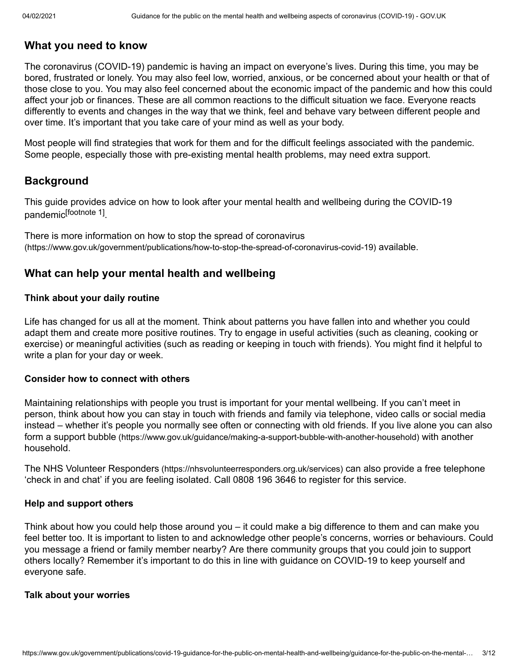# **What you need to know**

The coronavirus (COVID-19) pandemic is having an impact on everyone's lives. During this time, you may be bored, frustrated or lonely. You may also feel low, worried, anxious, or be concerned about your health or that of those close to you. You may also feel concerned about the economic impact of the pandemic and how this could affect your job or finances. These are all common reactions to the difficult situation we face. Everyone reacts differently to events and changes in the way that we think, feel and behave vary between different people and over time. It's important that you take care of your mind as well as your body.

Most people will find strategies that work for them and for the difficult feelings associated with the pandemic. Some people, especially those with pre-existing mental health problems, may need extra support.

# **Background**

This guide provides advice on how to look after your mental health and wellbeing during the COVID-19 pandemic<sup>[\[footnote](#page-11-0) 1]</sup>.

There is more information on how to stop the spread of coronavirus [\(https://www.gov.uk/government/publications/how-to-stop-the-spread-of-coronavirus-covid-19\)](https://www.gov.uk/government/publications/how-to-stop-the-spread-of-coronavirus-covid-19) available.

# **What can help your mental health and wellbeing**

## **Think about your daily routine**

Life has changed for us all at the moment. Think about patterns you have fallen into and whether you could adapt them and create more positive routines. Try to engage in useful activities (such as cleaning, cooking or exercise) or meaningful activities (such as reading or keeping in touch with friends). You might find it helpful to write a plan for your day or week.

### **Consider how to connect with others**

Maintaining relationships with people you trust is important for your mental wellbeing. If you can't meet in person, think about how you can stay in touch with friends and family via telephone, video calls or social media instead – whether it's people you normally see often or connecting with old friends. If you live alone you can also form a support bubble [\(https://www.gov.uk/guidance/making-a-support-bubble-with-another-household\)](https://www.gov.uk/guidance/making-a-support-bubble-with-another-household) with another household.

The NHS Volunteer Responders [\(https://nhsvolunteerresponders.org.uk/services\)](https://nhsvolunteerresponders.org.uk/services) can also provide a free telephone 'check in and chat' if you are feeling isolated. Call 0808 196 3646 to register for this service.

### **Help and support others**

Think about how you could help those around you – it could make a big difference to them and can make you feel better too. It is important to listen to and acknowledge other people's concerns, worries or behaviours. Could you message a friend or family member nearby? Are there community groups that you could join to support others locally? Remember it's important to do this in line with guidance on COVID-19 to keep yourself and everyone safe.

### **Talk about your worries**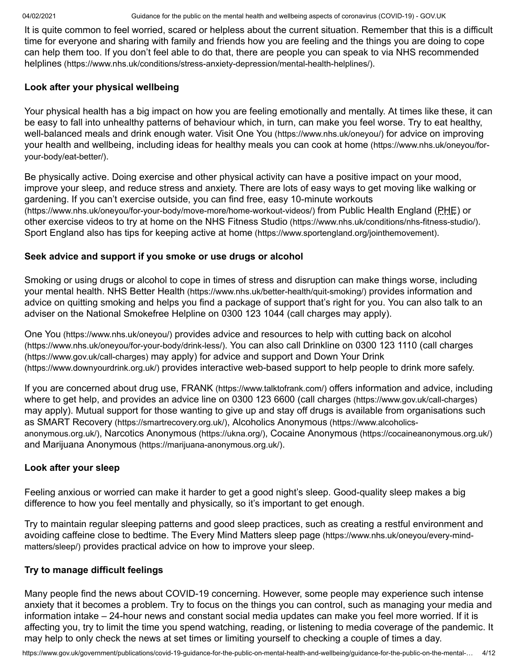It is quite common to feel worried, scared or helpless about the current situation. Remember that this is a difficult time for everyone and sharing with family and friends how you are feeling and the things you are doing to cope [can help them too. If you don't feel able to do that, there are people you can speak to via NHS recommended](https://www.nhs.uk/conditions/stress-anxiety-depression/mental-health-helplines/) helplines (https://www.nhs.uk/conditions/stress-anxiety-depression/mental-health-helplines/).

### **Look after your physical wellbeing**

Your physical health has a big impact on how you are feeling emotionally and mentally. At times like these, it can be easy to fall into unhealthy patterns of behaviour which, in turn, can make you feel worse. Try to eat healthy, well-balanced meals and drink enough water. Visit One You [\(https://www.nhs.uk/oneyou/\)](https://www.nhs.uk/oneyou/) for advice on improving [your health and wellbeing, including ideas for healthy meals you can cook at home](https://www.nhs.uk/oneyou/for-your-body/eat-better/) (https://www.nhs.uk/oneyou/foryour-body/eat-better/).

Be physically active. Doing exercise and other physical activity can have a positive impact on your mood, improve your sleep, and reduce stress and anxiety. There are lots of easy ways to get moving like walking or [gardening. If you can't exercise outside, you can find free, easy 10-minute workouts](https://www.nhs.uk/oneyou/for-your-body/move-more/home-workout-videos/) (https://www.nhs.uk/oneyou/for-your-body/move-more/home-workout-videos/) from Public Health England (PHE) or other exercise videos to try at home on the NHS Fitness Studio [\(https://www.nhs.uk/conditions/nhs-fitness-studio/\)](https://www.nhs.uk/conditions/nhs-fitness-studio/). Sport England also has tips for keeping active at home [\(https://www.sportengland.org/jointhemovement\)](https://www.sportengland.org/jointhemovement).

## **Seek advice and support if you smoke or use drugs or alcohol**

Smoking or using drugs or alcohol to cope in times of stress and disruption can make things worse, including your mental health. NHS Better Health [\(https://www.nhs.uk/better-health/quit-smoking/\)](https://www.nhs.uk/better-health/quit-smoking/) provides information and advice on quitting smoking and helps you find a package of support that's right for you. You can also talk to an adviser on the National Smokefree Helpline on 0300 123 1044 (call charges may apply).

One You [\(https://www.nhs.uk/oneyou/\)](https://www.nhs.uk/oneyou/) [provides advice and resources to help with cutting back on alcohol](https://www.nhs.uk/oneyou/for-your-body/drink-less/) (https://www.nhs.uk/oneyou/for-your-body/drink-less/)[. You can also call Drinkline on 0300 123 1110 \(call charges](https://www.gov.uk/call-charges) (https://www.gov.uk/call-charges) [may apply\) for advice and support and Down Your Drink](https://www.downyourdrink.org.uk/) (https://www.downyourdrink.org.uk/) provides interactive web-based support to help people to drink more safely.

If you are concerned about drug use, FRANK [\(https://www.talktofrank.com/\)](https://www.talktofrank.com/) offers information and advice, including where to get help, and provides an advice line on 0300 123 6600 (call charges [\(https://www.gov.uk/call-charges\)](https://www.gov.uk/call-charges) may apply). Mutual support for those wanting to give up and stay off drugs is available from organisations such as SMART Recovery [\(https://smartrecovery.org.uk/\)](https://www.alcoholics-anonymous.org.uk/), Alcoholics Anonymous (https://www.alcoholicsanonymous.org.uk/), [Narcotics Anonymous](https://ukna.org/) (https://ukna.org/), Cocaine Anonymous [\(https://cocaineanonymous.org.uk/\)](https://cocaineanonymous.org.uk/) and Marijuana Anonymous [\(https://marijuana-anonymous.org.uk/\)](https://marijuana-anonymous.org.uk/).

### **Look after your sleep**

Feeling anxious or worried can make it harder to get a good night's sleep. Good-quality sleep makes a big difference to how you feel mentally and physically, so it's important to get enough.

Try to maintain regular sleeping patterns and good sleep practices, such as creating a restful environment and [avoiding caffeine close to bedtime. The Every Mind Matters sleep page](https://www.nhs.uk/oneyou/every-mind-matters/sleep/) (https://www.nhs.uk/oneyou/every-mindmatters/sleep/) provides practical advice on how to improve your sleep.

## **Try to manage difficult feelings**

Many people find the news about COVID-19 concerning. However, some people may experience such intense anxiety that it becomes a problem. Try to focus on the things you can control, such as managing your media and information intake – 24-hour news and constant social media updates can make you feel more worried. If it is affecting you, try to limit the time you spend watching, reading, or listening to media coverage of the pandemic. It may help to only check the news at set times or limiting yourself to checking a couple of times a day.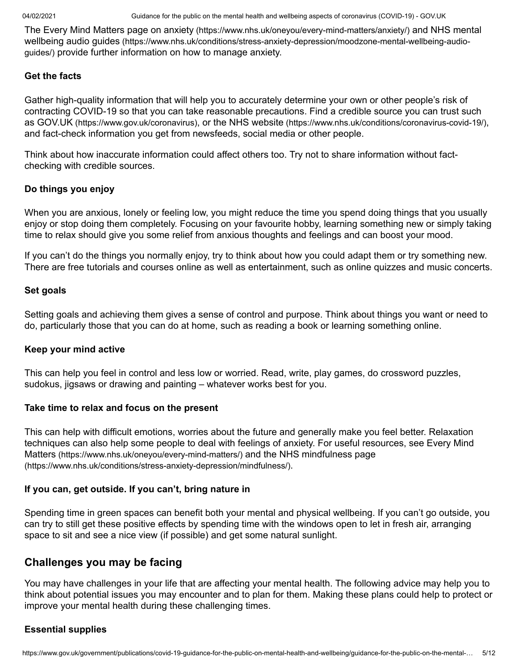The Every Mind Matters page on anxiety [\(https://www.nhs.uk/oneyou/every-mind-matters/anxiety/\)](https://www.nhs.uk/oneyou/every-mind-matters/anxiety/) and NHS mental wellbeing audio guides [\(https://www.nhs.uk/conditions/stress-anxiety-depression/moodzone-mental-wellbeing-audio](https://www.nhs.uk/conditions/stress-anxiety-depression/moodzone-mental-wellbeing-audio-guides/)guides/) provide further information on how to manage anxiety.

#### **Get the facts**

Gather high-quality information that will help you to accurately determine your own or other people's risk of contracting COVID-19 so that you can take reasonable precautions. Find a credible source you can trust such as GOV.UK [\(https://www.gov.uk/coronavirus\)](https://www.gov.uk/coronavirus), or the NHS website [\(https://www.nhs.uk/conditions/coronavirus-covid-19/\)](https://www.nhs.uk/conditions/coronavirus-covid-19/), and fact-check information you get from newsfeeds, social media or other people.

Think about how inaccurate information could affect others too. Try not to share information without factchecking with credible sources.

### **Do things you enjoy**

When you are anxious, lonely or feeling low, you might reduce the time you spend doing things that you usually enjoy or stop doing them completely. Focusing on your favourite hobby, learning something new or simply taking time to relax should give you some relief from anxious thoughts and feelings and can boost your mood.

If you can't do the things you normally enjoy, try to think about how you could adapt them or try something new. There are free tutorials and courses online as well as entertainment, such as online quizzes and music concerts.

#### **Set goals**

Setting goals and achieving them gives a sense of control and purpose. Think about things you want or need to do, particularly those that you can do at home, such as reading a book or learning something online.

#### **Keep your mind active**

This can help you feel in control and less low or worried. Read, write, play games, do crossword puzzles, sudokus, jigsaws or drawing and painting – whatever works best for you.

#### **Take time to relax and focus on the present**

This can help with difficult emotions, worries about the future and generally make you feel better. Relaxation [techniques can also help some people to deal with feelings of anxiety. For useful resources, see Every Mind](https://www.nhs.uk/oneyou/every-mind-matters/) Matters (https://www.nhs.uk/oneyou/every-mind-matters/) and the NHS mindfulness page [\(https://www.nhs.uk/conditions/stress-anxiety-depression/mindfulness/\)](https://www.nhs.uk/conditions/stress-anxiety-depression/mindfulness/).

#### **If you can, get outside. If you can't, bring nature in**

Spending time in green spaces can benefit both your mental and physical wellbeing. If you can't go outside, you can try to still get these positive effects by spending time with the windows open to let in fresh air, arranging space to sit and see a nice view (if possible) and get some natural sunlight.

## **Challenges you may be facing**

You may have challenges in your life that are affecting your mental health. The following advice may help you to think about potential issues you may encounter and to plan for them. Making these plans could help to protect or improve your mental health during these challenging times.

### **Essential supplies**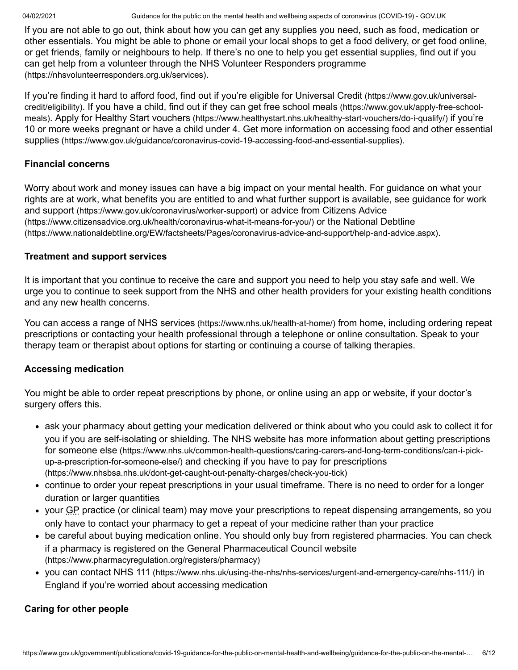04/02/2021 Guidance for the public on the mental health and wellbeing aspects of coronavirus (COVID-19) - GOV.UK

If you are not able to go out, think about how you can get any supplies you need, such as food, medication or other essentials. You might be able to phone or email your local shops to get a food delivery, or get food online, or get friends, family or neighbours to help. If there's no one to help you get essential supplies, find out if you [can get help from a volunteer through the NHS Volunteer Responders programme](https://nhsvolunteerresponders.org.uk/services) (https://nhsvolunteerresponders.org.uk/services).

[If you're finding it hard to afford food, find out if you're eligible for Universal Credit](https://www.gov.uk/universal-credit/eligibility) (https://www.gov.uk/universalcredit/eligibility)[. If you have a child, find out if they can get free school meals](https://www.gov.uk/apply-free-school-meals) (https://www.gov.uk/apply-free-schoolmeals). Apply for Healthy Start vouchers [\(https://www.healthystart.nhs.uk/healthy-start-vouchers/do-i-qualify/\)](https://www.healthystart.nhs.uk/healthy-start-vouchers/do-i-qualify/) if you're [10 or more weeks pregnant or have a child under 4. Get more information on accessing food and other essential](https://www.gov.uk/guidance/coronavirus-covid-19-accessing-food-and-essential-supplies) supplies (https://www.gov.uk/guidance/coronavirus-covid-19-accessing-food-and-essential-supplies).

## **Financial concerns**

Worry about work and money issues can have a big impact on your mental health. For guidance on what your [rights are at work, what benefits you are entitled to and what further support is available, see guidance for work](https://www.gov.uk/coronavirus/worker-support) and support (https://www.gov.uk/coronavirus/worker-support) or advice from Citizens Advice [\(https://www.citizensadvice.org.uk/health/coronavirus-what-it-means-for-you/\)](https://www.citizensadvice.org.uk/health/coronavirus-what-it-means-for-you/) or the National Debtline [\(https://www.nationaldebtline.org/EW/factsheets/Pages/coronavirus-advice-and-support/help-and-advice.aspx\)](https://www.nationaldebtline.org/EW/factsheets/Pages/coronavirus-advice-and-support/help-and-advice.aspx).

## **Treatment and support services**

It is important that you continue to receive the care and support you need to help you stay safe and well. We urge you to continue to seek support from the NHS and other health providers for your existing health conditions and any new health concerns.

You can access a range of NHS services [\(https://www.nhs.uk/health-at-home/\)](https://www.nhs.uk/health-at-home/) from home, including ordering repeat prescriptions or contacting your health professional through a telephone or online consultation. Speak to your therapy team or therapist about options for starting or continuing a course of talking therapies.

## **Accessing medication**

You might be able to order repeat prescriptions by phone, or online using an app or website, if your doctor's surgery offers this.

- ask your pharmacy about getting your medication delivered or think about who you could ask to collect it for [you if you are self-isolating or shielding. The NHS website has more information about getting prescriptions](https://www.nhs.uk/common-health-questions/caring-carers-and-long-term-conditions/can-i-pick-up-a-prescription-for-someone-else/) for someone else (https://www.nhs.uk/common-health-questions/caring-carers-and-long-term-conditions/can-i-pickup-a-prescription-for-someone-else/) and checking if you have to pay for prescriptions [\(https://www.nhsbsa.nhs.uk/dont-get-caught-out-penalty-charges/check-you-tick\)](https://www.nhsbsa.nhs.uk/dont-get-caught-out-penalty-charges/check-you-tick)
- continue to order your repeat prescriptions in your usual timeframe. There is no need to order for a longer duration or larger quantities
- your GP practice (or clinical team) may move your prescriptions to repeat dispensing arrangements, so you only have to contact your pharmacy to get a repeat of your medicine rather than your practice
- be careful about buying medication online. You should only buy from registered pharmacies. You can check [if a pharmacy is registered on the General Pharmaceutical Council website](https://www.pharmacyregulation.org/registers/pharmacy) (https://www.pharmacyregulation.org/registers/pharmacy)
- you can contact NHS 111 [\(https://www.nhs.uk/using-the-nhs/nhs-services/urgent-and-emergency-care/nhs-111/\)](https://www.nhs.uk/using-the-nhs/nhs-services/urgent-and-emergency-care/nhs-111/) in England if you're worried about accessing medication

## **Caring for other people**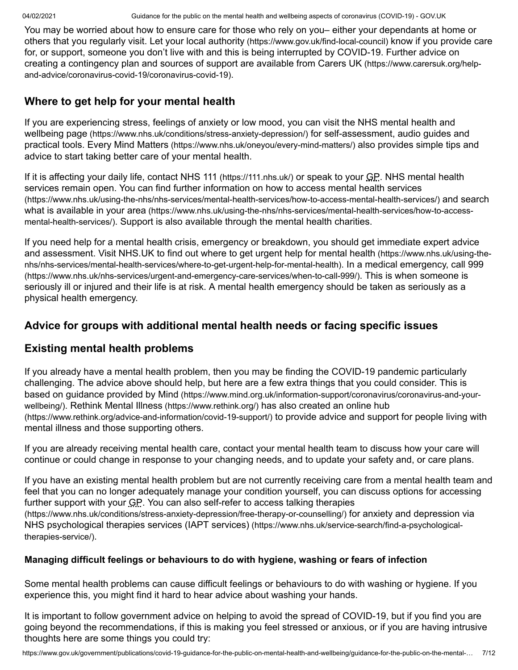You may be worried about how to ensure care for those who rely on you– either your dependants at home or others that you regularly visit. Let your local authority [\(https://www.gov.uk/find-local-council\)](https://www.gov.uk/find-local-council) know if you provide care for, or support, someone you don't live with and this is being interrupted by COVID-19. Further advice on [creating a contingency plan and sources of support are available from Carers UK](https://www.carersuk.org/help-and-advice/coronavirus-covid-19/coronavirus-covid-19) (https://www.carersuk.org/helpand-advice/coronavirus-covid-19/coronavirus-covid-19).

# **Where to get help for your mental health**

[If you are experiencing stress, feelings of anxiety or low mood, you can visit the NHS mental health and](https://www.nhs.uk/conditions/stress-anxiety-depression/) wellbeing page (https://www.nhs.uk/conditions/stress-anxiety-depression/) for self-assessment, audio guides and practical tools. Every Mind Matters [\(https://www.nhs.uk/oneyou/every-mind-matters/\)](https://www.nhs.uk/oneyou/every-mind-matters/) also provides simple tips and advice to start taking better care of your mental health.

If it is affecting your daily life, contact NHS 111 [\(https://111.nhs.uk/\)](https://111.nhs.uk/) or speak to your GP. NHS mental health [services remain open. You can find further information on how to access mental health services](https://www.nhs.uk/using-the-nhs/nhs-services/mental-health-services/how-to-access-mental-health-services/) (https://www.nhs.uk/using-the-nhs/nhs-services/mental-health-services/how-to-access-mental-health-services/) and search what is available in your area [\(https://www.nhs.uk/using-the-nhs/nhs-services/mental-health-services/how-to-access](https://www.nhs.uk/using-the-nhs/nhs-services/mental-health-services/how-to-access-mental-health-services/)mental-health-services/). Support is also available through the mental health charities.

If you need help for a mental health crisis, emergency or breakdown, you should get immediate expert advice [and assessment. Visit NHS.UK to find out where to get urgent help for mental health](https://www.nhs.uk/using-the-nhs/nhs-services/mental-health-services/where-to-get-urgent-help-for-mental-health) (https://www.nhs.uk/using-thenhs/nhs-services/mental-health-services/where-to-get-urgent-help-for-mental-health). In a medical emergency, call 999 [\(https://www.nhs.uk/nhs-services/urgent-and-emergency-care-services/when-to-call-999/\)](https://www.nhs.uk/nhs-services/urgent-and-emergency-care-services/when-to-call-999/). This is when someone is seriously ill or injured and their life is at risk. A mental health emergency should be taken as seriously as a physical health emergency.

## **Advice for groups with additional mental health needs or facing specific issues**

## **Existing mental health problems**

If you already have a mental health problem, then you may be finding the COVID-19 pandemic particularly challenging. The advice above should help, but here are a few extra things that you could consider. This is based on guidance provided by Mind [\(https://www.mind.org.uk/information-support/coronavirus/coronavirus-and-your-](https://www.mind.org.uk/information-support/coronavirus/coronavirus-and-your-wellbeing/)wellbeing/). [Rethink Mental Illness](https://www.rethink.org/) (https://www.rethink.org/) has also created an online hub [\(https://www.rethink.org/advice-and-information/covid-19-support/\)](https://www.rethink.org/advice-and-information/covid-19-support/) to provide advice and support for people living with mental illness and those supporting others.

If you are already receiving mental health care, contact your mental health team to discuss how your care will continue or could change in response to your changing needs, and to update your safety and, or care plans.

If you have an existing mental health problem but are not currently receiving care from a mental health team and feel that you can no longer adequately manage your condition yourself, you can discuss options for accessing [further support with your GP. You can also self-refer to access talking therapies](https://www.nhs.uk/conditions/stress-anxiety-depression/free-therapy-or-counselling/) (https://www.nhs.uk/conditions/stress-anxiety-depression/free-therapy-or-counselling/) for anxiety and depression via [NHS psychological therapies services \(IAPT services\)](https://www.nhs.uk/service-search/find-a-psychological-therapies-service/) (https://www.nhs.uk/service-search/find-a-psychologicaltherapies-service/).

## **Managing difficult feelings or behaviours to do with hygiene, washing or fears of infection**

Some mental health problems can cause difficult feelings or behaviours to do with washing or hygiene. If you experience this, you might find it hard to hear advice about washing your hands.

It is important to follow government advice on helping to avoid the spread of COVID-19, but if you find you are going beyond the recommendations, if this is making you feel stressed or anxious, or if you are having intrusive thoughts here are some things you could try: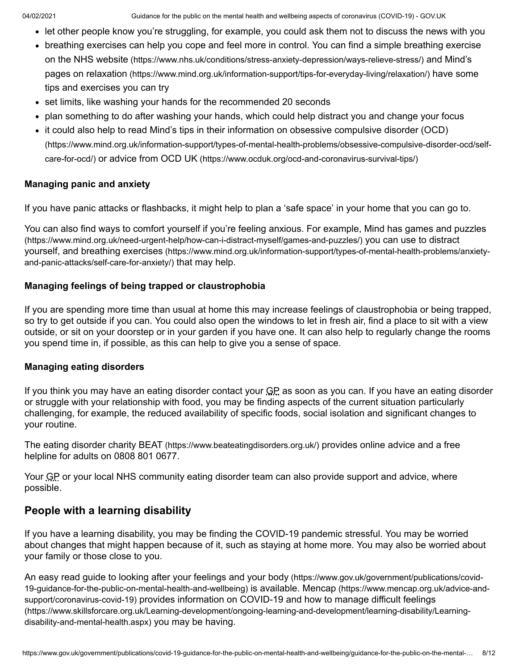- let other people know you're struggling, for example, you could ask them not to discuss the news with you
- [breathing exercises can help you cope and feel more in control. You can find a simple breathing exercise](https://www.nhs.uk/conditions/stress-anxiety-depression/ways-relieve-stress/) on the NHS website (https://www.nhs.uk/conditions/stress-anxiety-depression/ways-relieve-stress/) and Mind's pages on relaxation [\(https://www.mind.org.uk/information-support/tips-for-everyday-living/relaxation/\)](https://www.mind.org.uk/information-support/tips-for-everyday-living/relaxation/) have some tips and exercises you can try
- set limits, like washing your hands for the recommended 20 seconds
- plan something to do after washing your hands, which could help distract you and change your focus
- [it could also help to read Mind's tips in their information on obsessive compulsive disorder \(OCD\)](https://www.mind.org.uk/information-support/types-of-mental-health-problems/obsessive-compulsive-disorder-ocd/self-care-for-ocd/) (https://www.mind.org.uk/information-support/types-of-mental-health-problems/obsessive-compulsive-disorder-ocd/selfcare-for-ocd/) or advice from OCD UK [\(https://www.ocduk.org/ocd-and-coronavirus-survival-tips/\)](https://www.ocduk.org/ocd-and-coronavirus-survival-tips/)

#### **Managing panic and anxiety**

If you have panic attacks or flashbacks, it might help to plan a 'safe space' in your home that you can go to.

[You can also find ways to comfort yourself if you're feeling anxious. For example, Mind has games and puzzles](https://www.mind.org.uk/need-urgent-help/how-can-i-distract-myself/games-and-puzzles/) (https://www.mind.org.uk/need-urgent-help/how-can-i-distract-myself/games-and-puzzles/) you can use to distract yourself, and breathing exercises [\(https://www.mind.org.uk/information-support/types-of-mental-health-problems/anxiety](https://www.mind.org.uk/information-support/types-of-mental-health-problems/anxiety-and-panic-attacks/self-care-for-anxiety/)and-panic-attacks/self-care-for-anxiety/) that may help.

#### **Managing feelings of being trapped or claustrophobia**

If you are spending more time than usual at home this may increase feelings of claustrophobia or being trapped, so try to get outside if you can. You could also open the windows to let in fresh air, find a place to sit with a view outside, or sit on your doorstep or in your garden if you have one. It can also help to regularly change the rooms you spend time in, if possible, as this can help to give you a sense of space.

#### **Managing eating disorders**

If you think you may have an eating disorder contact your GP as soon as you can. If you have an eating disorder or struggle with your relationship with food, you may be finding aspects of the current situation particularly challenging, for example, the reduced availability of specific foods, social isolation and significant changes to your routine.

The eating disorder charity BEAT [\(https://www.beateatingdisorders.org.uk/\)](https://www.beateatingdisorders.org.uk/) provides online advice and a free helpline for adults on 0808 801 0677.

Your GP or your local NHS community eating disorder team can also provide support and advice, where possible.

## **People with a learning disability**

If you have a learning disability, you may be finding the COVID-19 pandemic stressful. You may be worried about changes that might happen because of it, such as staying at home more. You may also be worried about your family or those close to you.

[An easy read guide to looking after your feelings and your body](https://www.gov.uk/government/publications/covid-19-guidance-for-the-public-on-mental-health-and-wellbeing) (https://www.gov.uk/government/publications/covid-19-guidance-for-the-public-on-mental-health-and-wellbeing) is available. Mencap (https://www.mencap.org.uk/advice-andsupport/coronavirus-covid-19) [provides information on COVID-19 and how to manage difficult feelings](https://www.mencap.org.uk/advice-and-support/coronavirus-covid-19) [\(https://www.skillsforcare.org.uk/Learning-development/ongoing-learning-and-development/learning-disability/Learning](https://www.skillsforcare.org.uk/Learning-development/ongoing-learning-and-development/learning-disability/Learning-disability-and-mental-health.aspx)disability-and-mental-health.aspx) you may be having.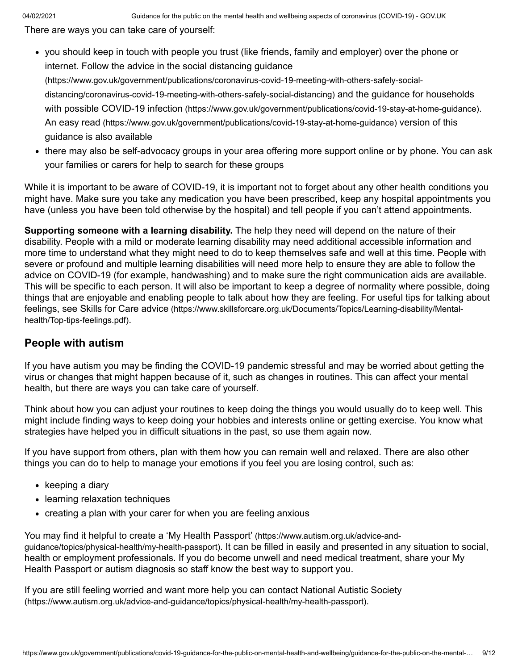There are ways you can take care of yourself:

you should keep in touch with people you trust (like friends, family and employer) over the phone or internet. Follow the advice in the social distancing guidance

[\(https://www.gov.uk/government/publications/coronavirus-covid-19-meeting-with-others-safely-social](https://www.gov.uk/government/publications/coronavirus-covid-19-meeting-with-others-safely-social-distancing/coronavirus-covid-19-meeting-with-others-safely-social-distancing)[distancing/coronavirus-covid-19-meeting-with-others-safely-social-distancing\)](https://www.gov.uk/government/publications/covid-19-stay-at-home-guidance) and the guidance for households with possible COVID-19 infection (https://www.gov.uk/government/publications/covid-19-stay-at-home-guidance). An easy read [\(https://www.gov.uk/government/publications/covid-19-stay-at-home-guidance\)](https://www.gov.uk/government/publications/covid-19-stay-at-home-guidance) version of this guidance is also available

• there may also be self-advocacy groups in your area offering more support online or by phone. You can ask your families or carers for help to search for these groups

While it is important to be aware of COVID-19, it is important not to forget about any other health conditions you might have. Make sure you take any medication you have been prescribed, keep any hospital appointments you have (unless you have been told otherwise by the hospital) and tell people if you can't attend appointments.

**Supporting someone with a learning disability.** The help they need will depend on the nature of their disability. People with a mild or moderate learning disability may need additional accessible information and more time to understand what they might need to do to keep themselves safe and well at this time. People with severe or profound and multiple learning disabilities will need more help to ensure they are able to follow the advice on COVID-19 (for example, handwashing) and to make sure the right communication aids are available. This will be specific to each person. It will also be important to keep a degree of normality where possible, doing things that are enjoyable and enabling people to talk about how they are feeling. For useful tips for talking about feelings, see Skills for Care advice [\(https://www.skillsforcare.org.uk/Documents/Topics/Learning-disability/Mental](https://www.skillsforcare.org.uk/Documents/Topics/Learning-disability/Mental-health/Top-tips-feelings.pdf)health/Top-tips-feelings.pdf).

## **People with autism**

If you have autism you may be finding the COVID-19 pandemic stressful and may be worried about getting the virus or changes that might happen because of it, such as changes in routines. This can affect your mental health, but there are ways you can take care of yourself.

Think about how you can adjust your routines to keep doing the things you would usually do to keep well. This might include finding ways to keep doing your hobbies and interests online or getting exercise. You know what strategies have helped you in difficult situations in the past, so use them again now.

If you have support from others, plan with them how you can remain well and relaxed. There are also other things you can do to help to manage your emotions if you feel you are losing control, such as:

- $\bullet$  keeping a diary
- learning relaxation techniques
- creating a plan with your carer for when you are feeling anxious

[You may find it helpful to create a 'My Health Passport'](https://www.autism.org.uk/advice-and-guidance/topics/physical-health/my-health-passport) (https://www.autism.org.uk/advice-andguidance/topics/physical-health/my-health-passport). It can be filled in easily and presented in any situation to social, health or employment professionals. If you do become unwell and need medical treatment, share your My Health Passport or autism diagnosis so staff know the best way to support you.

[If you are still feeling worried and want more help you can contact National Autistic Society](https://www.autism.org.uk/advice-and-guidance/topics/physical-health/my-health-passport) (https://www.autism.org.uk/advice-and-guidance/topics/physical-health/my-health-passport).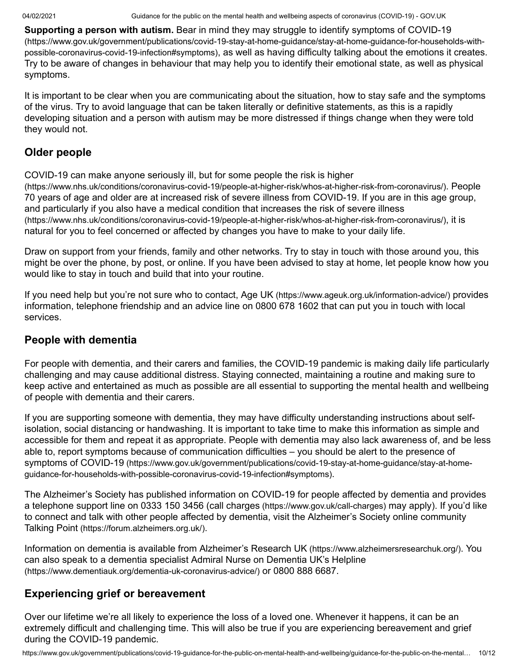**Supporting a person with autism.** Bear in mind they may struggle to identify symptoms of COVID-19 [\(https://www.gov.uk/government/publications/covid-19-stay-at-home-guidance/stay-at-home-guidance-for-households-with](https://www.gov.uk/government/publications/covid-19-stay-at-home-guidance/stay-at-home-guidance-for-households-with-possible-coronavirus-covid-19-infection#symptoms)possible-coronavirus-covid-19-infection#symptoms), as well as having difficulty talking about the emotions it creates. Try to be aware of changes in behaviour that may help you to identify their emotional state, as well as physical symptoms.

It is important to be clear when you are communicating about the situation, how to stay safe and the symptoms of the virus. Try to avoid language that can be taken literally or definitive statements, as this is a rapidly developing situation and a person with autism may be more distressed if things change when they were told they would not.

# **Older people**

COVID-19 can make anyone seriously ill, but for some people the risk is higher [\(https://www.nhs.uk/conditions/coronavirus-covid-19/people-at-higher-risk/whos-at-higher-risk-from-coronavirus/\)](https://www.nhs.uk/conditions/coronavirus-covid-19/people-at-higher-risk/whos-at-higher-risk-from-coronavirus/). People 70 years of age and older are at increased risk of severe illness from COVID-19. If you are in this age group, [and particularly if you also have a medical condition that increases the risk of severe illness](https://www.nhs.uk/conditions/coronavirus-covid-19/people-at-higher-risk/whos-at-higher-risk-from-coronavirus/) (https://www.nhs.uk/conditions/coronavirus-covid-19/people-at-higher-risk/whos-at-higher-risk-from-coronavirus/), it is natural for you to feel concerned or affected by changes you have to make to your daily life.

Draw on support from your friends, family and other networks. Try to stay in touch with those around you, this might be over the phone, by post, or online. If you have been advised to stay at home, let people know how you would like to stay in touch and build that into your routine.

If you need help but you're not sure who to contact, Age UK [\(https://www.ageuk.org.uk/information-advice/\)](https://www.ageuk.org.uk/information-advice/) provides information, telephone friendship and an advice line on 0800 678 1602 that can put you in touch with local services.

## **People with dementia**

For people with dementia, and their carers and families, the COVID-19 pandemic is making daily life particularly challenging and may cause additional distress. Staying connected, maintaining a routine and making sure to keep active and entertained as much as possible are all essential to supporting the mental health and wellbeing of people with dementia and their carers.

If you are supporting someone with dementia, they may have difficulty understanding instructions about selfisolation, social distancing or handwashing. It is important to take time to make this information as simple and accessible for them and repeat it as appropriate. People with dementia may also lack awareness of, and be less able to, report symptoms because of communication difficulties – you should be alert to the presence of symptoms of COVID-19 [\(https://www.gov.uk/government/publications/covid-19-stay-at-home-guidance/stay-at-home](https://www.gov.uk/government/publications/covid-19-stay-at-home-guidance/stay-at-home-guidance-for-households-with-possible-coronavirus-covid-19-infection#symptoms)guidance-for-households-with-possible-coronavirus-covid-19-infection#symptoms).

The Alzheimer's Society has published information on COVID-19 for people affected by dementia and provides a telephone support line on 0333 150 3456 (call charges [\(https://www.gov.uk/call-charges\)](https://www.gov.uk/call-charges) may apply). If you'd like to connect and talk with other people affected by dementia, visit the Alzheimer's Society online community Talking Point [\(https://forum.alzheimers.org.uk/\)](https://forum.alzheimers.org.uk/).

Information on dementia is available from Alzheimer's Research UK [\(https://www.alzheimersresearchuk.org/\)](https://www.alzheimersresearchuk.org/). You [can also speak to a dementia specialist Admiral Nurse on Dementia UK's Helpline](https://www.dementiauk.org/dementia-uk-coronavirus-advice/) (https://www.dementiauk.org/dementia-uk-coronavirus-advice/) or 0800 888 6687.

# **Experiencing grief or bereavement**

Over our lifetime we're all likely to experience the loss of a loved one. Whenever it happens, it can be an extremely difficult and challenging time. This will also be true if you are experiencing bereavement and grief during the COVID-19 pandemic.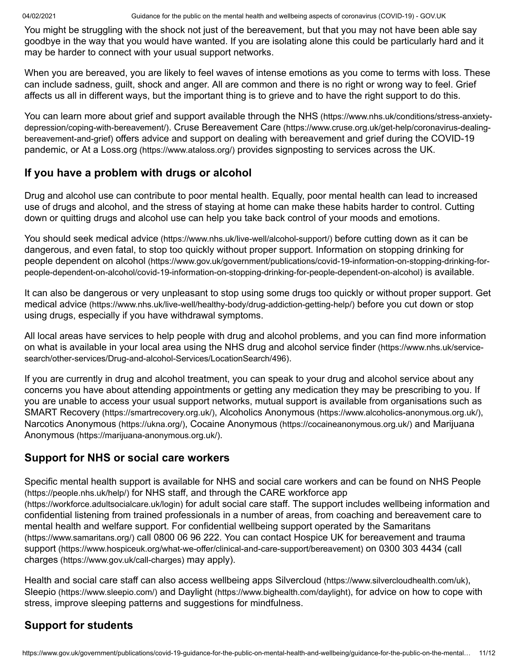You might be struggling with the shock not just of the bereavement, but that you may not have been able say goodbye in the way that you would have wanted. If you are isolating alone this could be particularly hard and it may be harder to connect with your usual support networks.

When you are bereaved, you are likely to feel waves of intense emotions as you come to terms with loss. These can include sadness, guilt, shock and anger. All are common and there is no right or wrong way to feel. Grief affects us all in different ways, but the important thing is to grieve and to have the right support to do this.

[You can learn more about grief and support available through the NHS](https://www.nhs.uk/conditions/stress-anxiety-depression/coping-with-bereavement/) (https://www.nhs.uk/conditions/stress-anxietydepression/coping-with-bereavement/). Cruse Bereavement Care (https://www.cruse.org.uk/get-help/coronavirus-dealingbereavement-and-grief) [offers advice and support on dealing with bereavement and grief during the COVID-19](https://www.cruse.org.uk/get-help/coronavirus-dealing-bereavement-and-grief) pandemic, or At a Loss.org [\(https://www.ataloss.org/\)](https://www.ataloss.org/) provides signposting to services across the UK.

# **If you have a problem with drugs or alcohol**

Drug and alcohol use can contribute to poor mental health. Equally, poor mental health can lead to increased use of drugs and alcohol, and the stress of staying at home can make these habits harder to control. Cutting down or quitting drugs and alcohol use can help you take back control of your moods and emotions.

You should seek medical advice [\(https://www.nhs.uk/live-well/alcohol-support/\)](https://www.nhs.uk/live-well/alcohol-support/) before cutting down as it can be [dangerous, and even fatal, to stop too quickly without proper support. Information on stopping drinking for](https://www.gov.uk/government/publications/covid-19-information-on-stopping-drinking-for-people-dependent-on-alcohol/covid-19-information-on-stopping-drinking-for-people-dependent-on-alcohol) people dependent on alcohol (https://www.gov.uk/government/publications/covid-19-information-on-stopping-drinking-forpeople-dependent-on-alcohol/covid-19-information-on-stopping-drinking-for-people-dependent-on-alcohol) is available.

[It can also be dangerous or very unpleasant to stop using some drugs too quickly or without proper support. Get](https://www.nhs.uk/live-well/healthy-body/drug-addiction-getting-help/) medical advice (https://www.nhs.uk/live-well/healthy-body/drug-addiction-getting-help/) before you cut down or stop using drugs, especially if you have withdrawal symptoms.

All local areas have services to help people with drug and alcohol problems, and you can find more information [on what is available in your local area using the NHS drug and alcohol service finder](https://www.nhs.uk/service-search/other-services/Drug-and-alcohol-Services/LocationSearch/496) (https://www.nhs.uk/servicesearch/other-services/Drug-and-alcohol-Services/LocationSearch/496).

If you are currently in drug and alcohol treatment, you can speak to your drug and alcohol service about any concerns you have about attending appointments or getting any medication they may be prescribing to you. If you are unable to access your usual support networks, mutual support is available from organisations such as SMART Recovery [\(https://smartrecovery.org.uk/\)](https://smartrecovery.org.uk/), Alcoholics Anonymous [\(https://www.alcoholics-anonymous.org.uk/\)](https://www.alcoholics-anonymous.org.uk/), [Narcotics Anonymous](https://ukna.org/) (https://ukna.org/), Cocaine Anonymous [\(https://cocaineanonymous.org.uk/\)](https://cocaineanonymous.org.uk/) and Marijuana Anonymous [\(https://marijuana-anonymous.org.uk/\)](https://marijuana-anonymous.org.uk/).

## **Support for NHS or social care workers**

[Specific mental health support is available for NHS and social care workers and can be found on NHS People](https://people.nhs.uk/help/) (https://people.nhs.uk/help/) [for NHS staff, and through the CARE workforce app](https://workforce.adultsocialcare.uk/login) (https://workforce.adultsocialcare.uk/login) for adult social care staff. The support includes wellbeing information and confidential listening from trained professionals in a number of areas, from coaching and bereavement care to [mental health and welfare support. For confidential wellbeing support operated by the Samaritans](https://www.samaritans.org/) (https://www.samaritans.org/) [call 0800 06 96 222. You can contact Hospice UK for bereavement and trauma](https://www.hospiceuk.org/what-we-offer/clinical-and-care-support/bereavement) support [\(https://www.hospiceuk.org/what-we-offer/clinical-and-care-support/bereavement\)](https://www.gov.uk/call-charges) on 0300 303 4434 (call charges (https://www.gov.uk/call-charges) may apply).

Health and social care staff can also access wellbeing apps Silvercloud [\(https://www.silvercloudhealth.com/uk\)](https://www.silvercloudhealth.com/uk), Sleepio [\(https://www.sleepio.com/\)](https://www.sleepio.com/) and Daylight [\(https://www.bighealth.com/daylight\)](https://www.bighealth.com/daylight), for advice on how to cope with stress, improve sleeping patterns and suggestions for mindfulness.

# **Support for students**